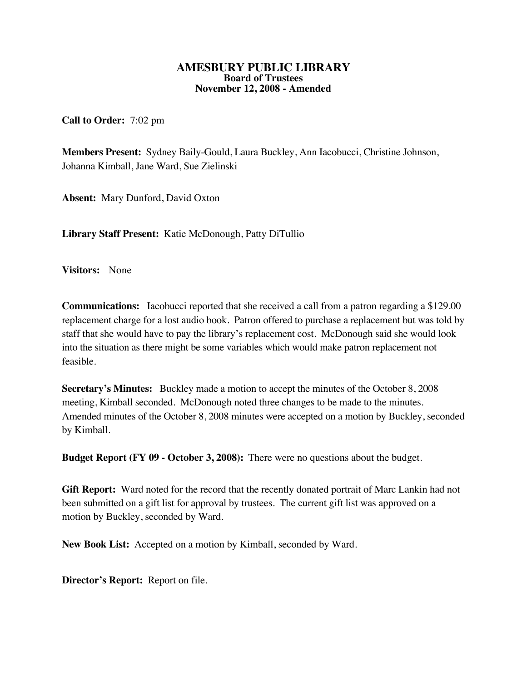## **AMESBURY PUBLIC LIBRARY Board of Trustees November 12, 2008 - Amended**

**Call to Order:** 7:02 pm

**Members Present:** Sydney Baily-Gould, Laura Buckley, Ann Iacobucci, Christine Johnson, Johanna Kimball, Jane Ward, Sue Zielinski

**Absent:** Mary Dunford, David Oxton

**Library Staff Present:** Katie McDonough, Patty DiTullio

**Visitors:** None

**Communications:** Iacobucci reported that she received a call from a patron regarding a \$129.00 replacement charge for a lost audio book. Patron offered to purchase a replacement but was told by staff that she would have to pay the library's replacement cost. McDonough said she would look into the situation as there might be some variables which would make patron replacement not feasible.

**Secretary's Minutes:** Buckley made a motion to accept the minutes of the October 8, 2008 meeting, Kimball seconded. McDonough noted three changes to be made to the minutes. Amended minutes of the October 8, 2008 minutes were accepted on a motion by Buckley, seconded by Kimball.

**Budget Report (FY 09 - October 3, 2008):** There were no questions about the budget.

**Gift Report:** Ward noted for the record that the recently donated portrait of Marc Lankin had not been submitted on a gift list for approval by trustees. The current gift list was approved on a motion by Buckley, seconded by Ward.

**New Book List:** Accepted on a motion by Kimball, seconded by Ward.

**Director's Report:** Report on file.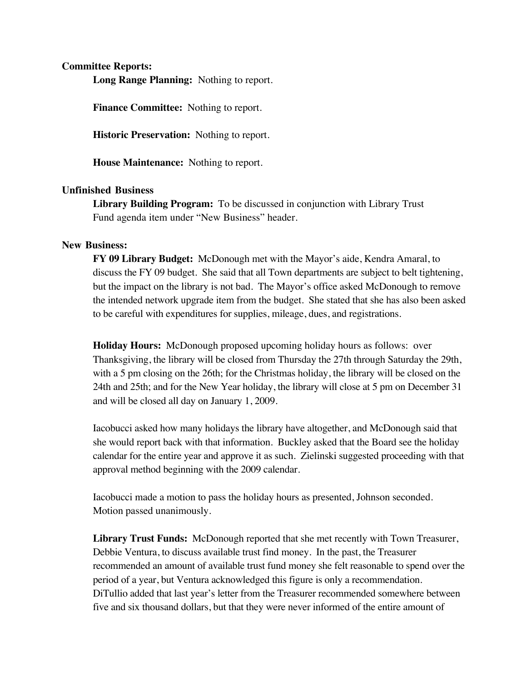## **Committee Reports:**

**Long Range Planning:** Nothing to report.

**Finance Committee:** Nothing to report.

**Historic Preservation:** Nothing to report.

 **House Maintenance:** Nothing to report.

## **Unfinished Business**

**Library Building Program:** To be discussed in conjunction with Library Trust Fund agenda item under "New Business" header.

## **New Business:**

**FY 09 Library Budget:** McDonough met with the Mayor's aide, Kendra Amaral, to discuss the FY 09 budget. She said that all Town departments are subject to belt tightening, but the impact on the library is not bad. The Mayor's office asked McDonough to remove the intended network upgrade item from the budget. She stated that she has also been asked to be careful with expenditures for supplies, mileage, dues, and registrations.

**Holiday Hours:** McDonough proposed upcoming holiday hours as follows: over Thanksgiving, the library will be closed from Thursday the 27th through Saturday the 29th, with a 5 pm closing on the 26th; for the Christmas holiday, the library will be closed on the 24th and 25th; and for the New Year holiday, the library will close at 5 pm on December 31 and will be closed all day on January 1, 2009.

Iacobucci asked how many holidays the library have altogether, and McDonough said that she would report back with that information. Buckley asked that the Board see the holiday calendar for the entire year and approve it as such. Zielinski suggested proceeding with that approval method beginning with the 2009 calendar.

Iacobucci made a motion to pass the holiday hours as presented, Johnson seconded. Motion passed unanimously.

**Library Trust Funds:** McDonough reported that she met recently with Town Treasurer, Debbie Ventura, to discuss available trust find money. In the past, the Treasurer recommended an amount of available trust fund money she felt reasonable to spend over the period of a year, but Ventura acknowledged this figure is only a recommendation. DiTullio added that last year's letter from the Treasurer recommended somewhere between five and six thousand dollars, but that they were never informed of the entire amount of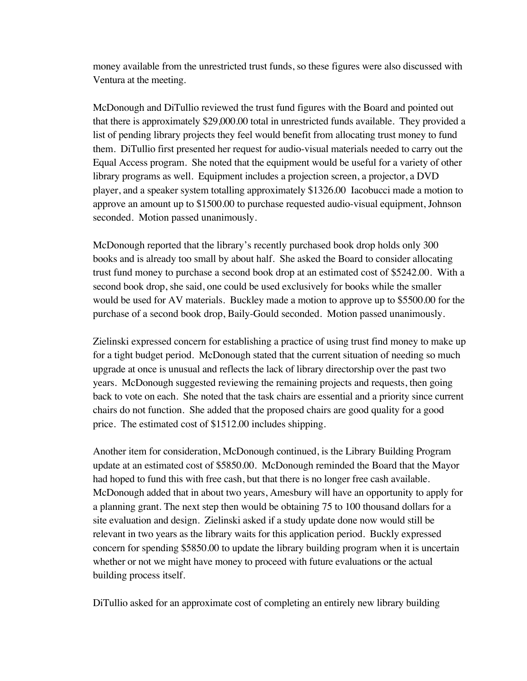money available from the unrestricted trust funds, so these figures were also discussed with Ventura at the meeting.

McDonough and DiTullio reviewed the trust fund figures with the Board and pointed out that there is approximately \$29,000.00 total in unrestricted funds available. They provided a list of pending library projects they feel would benefit from allocating trust money to fund them. DiTullio first presented her request for audio-visual materials needed to carry out the Equal Access program. She noted that the equipment would be useful for a variety of other library programs as well. Equipment includes a projection screen, a projector, a DVD player, and a speaker system totalling approximately \$1326.00 Iacobucci made a motion to approve an amount up to \$1500.00 to purchase requested audio-visual equipment, Johnson seconded. Motion passed unanimously.

McDonough reported that the library's recently purchased book drop holds only 300 books and is already too small by about half. She asked the Board to consider allocating trust fund money to purchase a second book drop at an estimated cost of \$5242.00. With a second book drop, she said, one could be used exclusively for books while the smaller would be used for AV materials. Buckley made a motion to approve up to \$5500.00 for the purchase of a second book drop, Baily-Gould seconded. Motion passed unanimously.

Zielinski expressed concern for establishing a practice of using trust find money to make up for a tight budget period. McDonough stated that the current situation of needing so much upgrade at once is unusual and reflects the lack of library directorship over the past two years. McDonough suggested reviewing the remaining projects and requests, then going back to vote on each. She noted that the task chairs are essential and a priority since current chairs do not function. She added that the proposed chairs are good quality for a good price. The estimated cost of \$1512.00 includes shipping.

Another item for consideration, McDonough continued, is the Library Building Program update at an estimated cost of \$5850.00. McDonough reminded the Board that the Mayor had hoped to fund this with free cash, but that there is no longer free cash available. McDonough added that in about two years, Amesbury will have an opportunity to apply for a planning grant. The next step then would be obtaining 75 to 100 thousand dollars for a site evaluation and design. Zielinski asked if a study update done now would still be relevant in two years as the library waits for this application period. Buckly expressed concern for spending \$5850.00 to update the library building program when it is uncertain whether or not we might have money to proceed with future evaluations or the actual building process itself.

DiTullio asked for an approximate cost of completing an entirely new library building